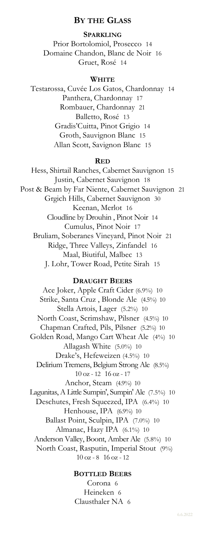### **BY THE GLASS**

**SPARKLING** Prior Bortolomiol, Prosecco 14 Domaine Chandon, Blanc de Noir 16 Gruet, Rosé 14

#### **WHITE**

Testarossa, Cuvée Los Gatos, Chardonnay 14 Panthera, Chardonnay 17 Rombauer, Chardonnay 21 Balletto, Rosé 13 Gradis'Cuitta, Pinot Grigio 14 Groth, Sauvignon Blanc 15 Allan Scott, Savignon Blanc 15

#### **RED**

Hess, Shirtail Ranches, Cabernet Sauvignon 15 Justin, Cabernet Sauvignon 18 Post & Beam by Far Niente, Cabernet Sauvignon 21 Grgich Hills, Cabernet Sauvignon 30 Keenan, Merlot 16 Cloudline by Drouhin , Pinot Noir 14 Cumulus, Pinot Noir 17 Bruliam, Soberanes Vineyard, Pinot Noir 21 Ridge, Three Valleys, Zinfandel 16 Maal, Biutiful, Malbec 13 J. Lohr, Tower Road, Petite Sirah 15

#### **DRAUGHT BEERS**

Ace Joker, Apple Craft Cider (6.9%) 10 Strike, Santa Cruz , Blonde Ale (4.5%) 10 Stella Artois, Lager (5.2%) 10 North Coast, Scrimshaw, Pilsner (4.5%) 10 Chapman Crafted, Pils, Pilsner (5.2%) 10 Golden Road, Mango Cart Wheat Ale (4%) 10 Allagash White (5.0%) 10 Drake's, Hefeweizen (4.5%) 10 Delirium Tremens, Belgium Strong Ale (8.5%) 10 oz - 12 16 oz - 17 Anchor, Steam (4.9%) 10 Lagunitas, A Little Sumpin', Sumpin' Ale (7.5%) 10 Deschutes, Fresh Squeezed, IPA (6.4%) 10 Henhouse, IPA (6.9%) 10 Ballast Point, Sculpin, IPA (7.0%) 10 Almanac, Hazy IPA (6.1%) 10 Anderson Valley, Boont, Amber Ale (5.8%) 10 North Coast, Rasputin, Imperial Stout (9%) 10 oz - 8 16 oz - 12

#### **BOTTLED BEERS**

Corona 6 Heineken 6 Clausthaler NA 6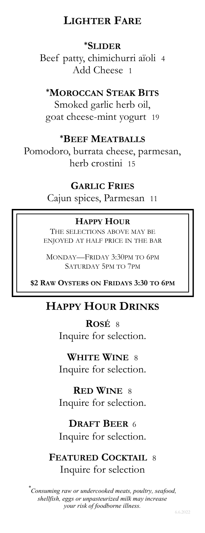# **LIGHTER FARE**

# **\*SLIDER**

Beef patty, chimichurri aïoli 4 Add Cheese 1

### **\*MOROCCAN STEAK BITS**

Smoked garlic herb oil, goat cheese-mint yogurt 19

## **\*BEEF MEATBALLS**

Pomodoro, burrata cheese, parmesan, herb crostini 15

### **GARLIC FRIES**

Cajun spices, Parmesan 11

### **HAPPY HOUR**

THE SELECTIONS ABOVE MAY BE ENJOYED AT HALF PRICE IN THE BAR

MONDAY—FRIDAY 3:30PM TO 6PM SATURDAY 5PM TO 7PM

**\$2 RAW OYSTERS ON FRIDAYS 3:30 TO 6PM**

# **HAPPY HOUR DRINKS**

**ROSÉ** 8 Inquire for selection.

**WHITE WINE** 8 Inquire for selection.

**RED WINE** 8 Inquire for selection.

# **DRAFT BEER** 6

Inquire for selection.

**FEATURED COCKTAIL** 8 Inquire for selection

*\* Consuming raw or undercooked meats, poultry, seafood, shellfish, eggs or unpasteurized milk may increase your risk of foodborne illness.*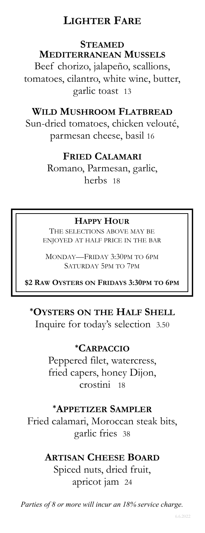# **LIGHTER FARE**

## **STEAMED**

## **MEDITERRANEAN MUSSELS**

Beef chorizo, jalapeño, scallions, tomatoes, cilantro, white wine, butter, garlic toast 13

# **WILD MUSHROOM FLATBREAD**

Sun-dried tomatoes, chicken velouté, parmesan cheese, basil 16

# **FRIED CALAMARI**

Romano, Parmesan, garlic, herbs 18

# **HAPPY HOUR**

THE SELECTIONS ABOVE MAY BE ENJOYED AT HALF PRICE IN THE BAR

MONDAY—FRIDAY 3:30PM TO 6PM SATURDAY 5PM TO 7PM

**\$2 RAW OYSTERS ON FRIDAYS 3:30PM TO 6PM**

# **\*OYSTERS ON THE HALF SHELL**

Inquire for today's selection 3.50

# **\*CARPACCIO**

Peppered filet, watercress, fried capers, honey Dijon, crostini 18

## **\*APPETIZER SAMPLER**

Fried calamari, Moroccan steak bits, garlic fries 38

# **ARTISAN CHEESE BOARD**

Spiced nuts, dried fruit, apricot jam 24

*Parties of 8 or more will incur an 18% service charge.*